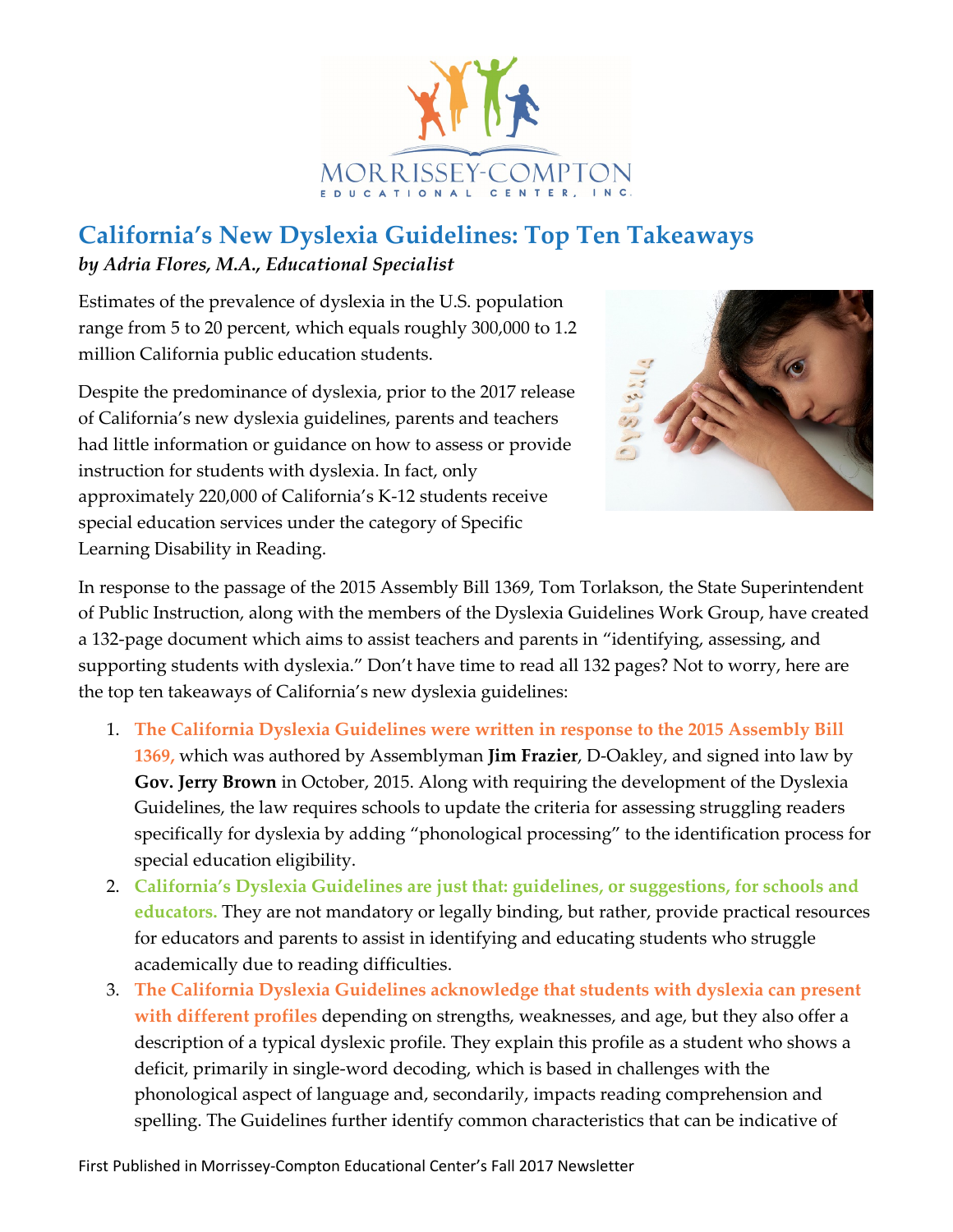

## **California's New Dyslexia Guidelines: Top Ten Takeaways** *by Adria Flores, M.A., Educational Specialist*

Estimates of the prevalence of dyslexia in the U.S. population range from 5 to 20 percent, which equals roughly 300,000 to 1.2 million California public education students.

Despite the predominance of dyslexia, prior to the 2017 release of California's new dyslexia guidelines, parents and teachers had little information or guidance on how to assess or provide instruction for students with dyslexia. In fact, only approximately 220,000 of California's K-12 students receive special education services under the category of Specific Learning Disability in Reading.



In response to the passage of the 2015 Assembly Bill 1369, Tom Torlakson, the State Superintendent of Public Instruction, along with the members of the Dyslexia Guidelines Work Group, have created a 132-page document which aims to assist teachers and parents in "identifying, assessing, and supporting students with dyslexia." Don't have time to read all 132 pages? Not to worry, here are the top ten takeaways of California's new dyslexia guidelines:

- 1. **The California Dyslexia Guidelines were written in response to the 2015 Assembly Bill 1369,** which was authored by Assemblyman **Jim Frazier**, D-Oakley, and signed into law by **Gov. Jerry Brown** in October, 2015. Along with requiring the development of the Dyslexia Guidelines, the law requires schools to update the criteria for assessing struggling readers specifically for dyslexia by adding "phonological processing" to the identification process for special education eligibility.
- 2. **California's Dyslexia Guidelines are just that: guidelines, or suggestions, for schools and educators.** They are not mandatory or legally binding, but rather, provide practical resources for educators and parents to assist in identifying and educating students who struggle academically due to reading difficulties.
- 3. **The California Dyslexia Guidelines acknowledge that students with dyslexia can present with different profiles** depending on strengths, weaknesses, and age, but they also offer a description of a typical dyslexic profile. They explain this profile as a student who shows a deficit, primarily in single-word decoding, which is based in challenges with the phonological aspect of language and, secondarily, impacts reading comprehension and spelling. The Guidelines further identify common characteristics that can be indicative of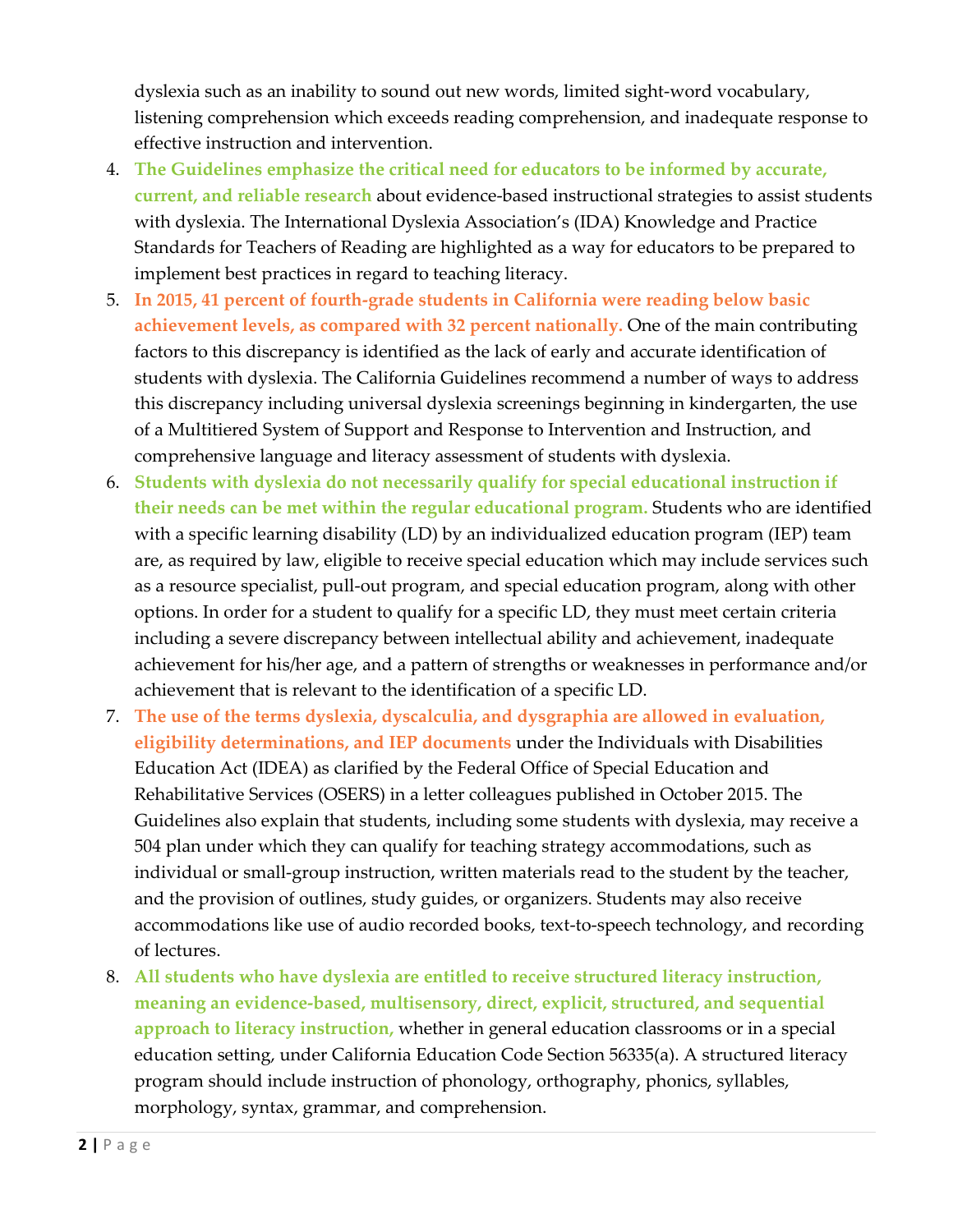dyslexia such as an inability to sound out new words, limited sight-word vocabulary, listening comprehension which exceeds reading comprehension, and inadequate response to effective instruction and intervention.

- 4. **The Guidelines emphasize the critical need for educators to be informed by accurate, current, and reliable research** about evidence-based instructional strategies to assist students with dyslexia. The International Dyslexia Association's (IDA) Knowledge and Practice Standards for Teachers of Reading are highlighted as a way for educators to be prepared to implement best practices in regard to teaching literacy.
- 5. **In 2015, 41 percent of fourth-grade students in California were reading below basic achievement levels, as compared with 32 percent nationally.** One of the main contributing factors to this discrepancy is identified as the lack of early and accurate identification of students with dyslexia. The California Guidelines recommend a number of ways to address this discrepancy including universal dyslexia screenings beginning in kindergarten, the use of a Multitiered System of Support and Response to Intervention and Instruction, and comprehensive language and literacy assessment of students with dyslexia.
- 6. **Students with dyslexia do not necessarily qualify for special educational instruction if their needs can be met within the regular educational program.** Students who are identified with a specific learning disability (LD) by an individualized education program (IEP) team are, as required by law, eligible to receive special education which may include services such as a resource specialist, pull-out program, and special education program, along with other options. In order for a student to qualify for a specific LD, they must meet certain criteria including a severe discrepancy between intellectual ability and achievement, inadequate achievement for his/her age, and a pattern of strengths or weaknesses in performance and/or achievement that is relevant to the identification of a specific LD.
- 7. **The use of the terms dyslexia, dyscalculia, and dysgraphia are allowed in evaluation, eligibility determinations, and IEP documents** under the Individuals with Disabilities Education Act (IDEA) as clarified by the Federal Office of Special Education and Rehabilitative Services (OSERS) in a letter colleagues published in October 2015. The Guidelines also explain that students, including some students with dyslexia, may receive a 504 plan under which they can qualify for teaching strategy accommodations, such as individual or small-group instruction, written materials read to the student by the teacher, and the provision of outlines, study guides, or organizers. Students may also receive accommodations like use of audio recorded books, text-to-speech technology, and recording of lectures.
- 8. **All students who have dyslexia are entitled to receive structured literacy instruction, meaning an evidence-based, multisensory, direct, explicit, structured, and sequential approach to literacy instruction,** whether in general education classrooms or in a special education setting, under California Education Code Section 56335(a). A structured literacy program should include instruction of phonology, orthography, phonics, syllables, morphology, syntax, grammar, and comprehension.